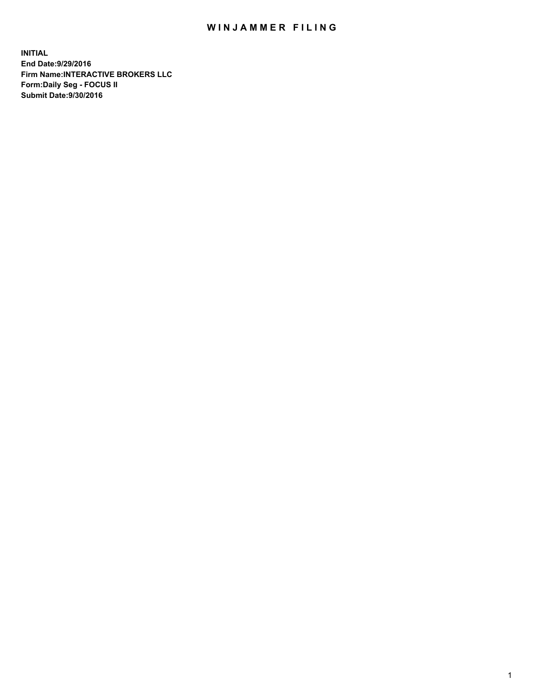## WIN JAMMER FILING

**INITIAL End Date:9/29/2016 Firm Name:INTERACTIVE BROKERS LLC Form:Daily Seg - FOCUS II Submit Date:9/30/2016**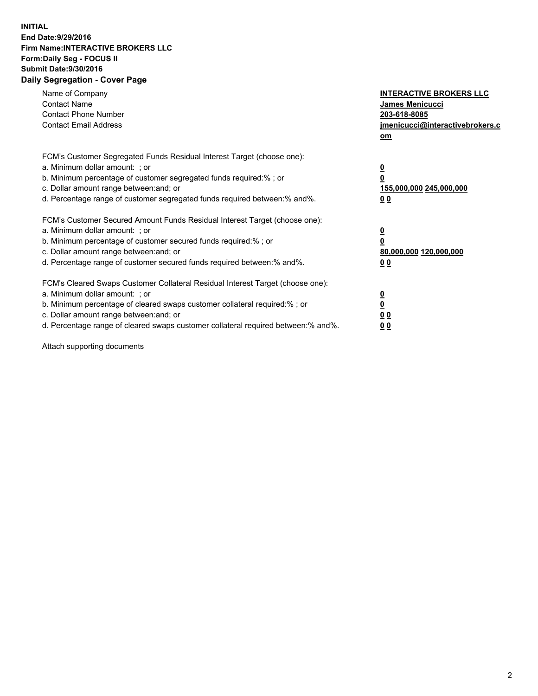## **INITIAL End Date:9/29/2016 Firm Name:INTERACTIVE BROKERS LLC Form:Daily Seg - FOCUS II Submit Date:9/30/2016 Daily Segregation - Cover Page**

| Name of Company<br><b>Contact Name</b><br><b>Contact Phone Number</b><br><b>Contact Email Address</b>                                                                                                                                                                                                                          | <b>INTERACTIVE BROKERS LLC</b><br>James Menicucci<br>203-618-8085<br>jmenicucci@interactivebrokers.c<br>om |
|--------------------------------------------------------------------------------------------------------------------------------------------------------------------------------------------------------------------------------------------------------------------------------------------------------------------------------|------------------------------------------------------------------------------------------------------------|
| FCM's Customer Segregated Funds Residual Interest Target (choose one):<br>a. Minimum dollar amount: ; or<br>b. Minimum percentage of customer segregated funds required:%; or<br>c. Dollar amount range between: and; or<br>d. Percentage range of customer segregated funds required between:% and%.                          | $\overline{\mathbf{0}}$<br>0<br>155,000,000 245,000,000<br>0 <sub>0</sub>                                  |
| FCM's Customer Secured Amount Funds Residual Interest Target (choose one):<br>a. Minimum dollar amount: ; or<br>b. Minimum percentage of customer secured funds required:%; or<br>c. Dollar amount range between: and; or<br>d. Percentage range of customer secured funds required between:% and%.                            | $\overline{\mathbf{0}}$<br>$\overline{\mathbf{0}}$<br>80,000,000 120,000,000<br>00                         |
| FCM's Cleared Swaps Customer Collateral Residual Interest Target (choose one):<br>a. Minimum dollar amount: ; or<br>b. Minimum percentage of cleared swaps customer collateral required:% ; or<br>c. Dollar amount range between: and; or<br>d. Percentage range of cleared swaps customer collateral required between:% and%. | $\overline{\mathbf{0}}$<br>$\overline{\mathbf{0}}$<br>0 <sub>0</sub><br><u>00</u>                          |

Attach supporting documents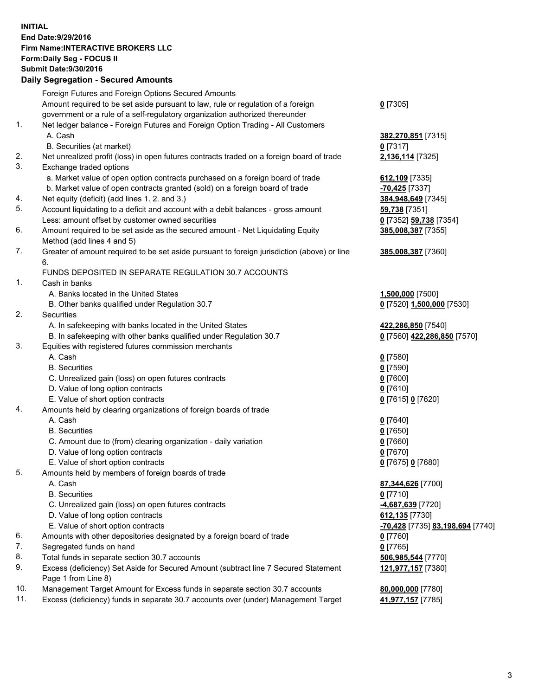## **INITIAL End Date:9/29/2016 Firm Name:INTERACTIVE BROKERS LLC Form:Daily Seg - FOCUS II Submit Date:9/30/2016 Daily Segregation - Secured Amounts**

|                | Daily Segregation - Secured Announts                                                                       |                                  |
|----------------|------------------------------------------------------------------------------------------------------------|----------------------------------|
|                | Foreign Futures and Foreign Options Secured Amounts                                                        |                                  |
|                | Amount required to be set aside pursuant to law, rule or regulation of a foreign                           | $0$ [7305]                       |
|                | government or a rule of a self-regulatory organization authorized thereunder                               |                                  |
| $\mathbf{1}$ . | Net ledger balance - Foreign Futures and Foreign Option Trading - All Customers                            |                                  |
|                | A. Cash                                                                                                    | 382,270,851 [7315]               |
|                | B. Securities (at market)                                                                                  | $0$ [7317]                       |
| 2.             | Net unrealized profit (loss) in open futures contracts traded on a foreign board of trade                  | 2,136,114 [7325]                 |
| 3.             | Exchange traded options                                                                                    |                                  |
|                | a. Market value of open option contracts purchased on a foreign board of trade                             | 612,109 [7335]                   |
|                | b. Market value of open contracts granted (sold) on a foreign board of trade                               | $-70,425$ [7337]                 |
| 4.             | Net equity (deficit) (add lines 1.2. and 3.)                                                               | 384,948,649 [7345]               |
| 5.             | Account liquidating to a deficit and account with a debit balances - gross amount                          | 59,738 [7351]                    |
|                | Less: amount offset by customer owned securities                                                           | 0 [7352] 59,738 [7354]           |
| 6.             | Amount required to be set aside as the secured amount - Net Liquidating Equity                             | 385,008,387 [7355]               |
|                | Method (add lines 4 and 5)                                                                                 |                                  |
| 7.             | Greater of amount required to be set aside pursuant to foreign jurisdiction (above) or line                | 385,008,387 [7360]               |
|                | 6.                                                                                                         |                                  |
|                | FUNDS DEPOSITED IN SEPARATE REGULATION 30.7 ACCOUNTS                                                       |                                  |
| 1.             | Cash in banks                                                                                              |                                  |
|                | A. Banks located in the United States                                                                      | 1,500,000 [7500]                 |
|                | B. Other banks qualified under Regulation 30.7                                                             | 0 [7520] 1,500,000 [7530]        |
| 2.             | Securities                                                                                                 |                                  |
|                | A. In safekeeping with banks located in the United States                                                  | 422,286,850 [7540]               |
|                | B. In safekeeping with other banks qualified under Regulation 30.7                                         | 0 [7560] 422,286,850 [7570]      |
| 3.             | Equities with registered futures commission merchants                                                      |                                  |
|                | A. Cash                                                                                                    | $0$ [7580]                       |
|                | <b>B.</b> Securities                                                                                       | $0$ [7590]                       |
|                | C. Unrealized gain (loss) on open futures contracts                                                        | $0$ [7600]                       |
|                | D. Value of long option contracts                                                                          | $0$ [7610]                       |
|                | E. Value of short option contracts                                                                         | 0 [7615] 0 [7620]                |
| 4.             | Amounts held by clearing organizations of foreign boards of trade                                          |                                  |
|                | A. Cash                                                                                                    | $0$ [7640]                       |
|                | <b>B.</b> Securities                                                                                       | $0$ [7650]                       |
|                | C. Amount due to (from) clearing organization - daily variation                                            | $0$ [7660]                       |
|                | D. Value of long option contracts                                                                          | $0$ [7670]                       |
|                | E. Value of short option contracts                                                                         | 0 [7675] 0 [7680]                |
| 5.             | Amounts held by members of foreign boards of trade                                                         |                                  |
|                | A. Cash                                                                                                    | 87,344,626 [7700]                |
|                | <b>B.</b> Securities                                                                                       | $0$ [7710]                       |
|                | C. Unrealized gain (loss) on open futures contracts                                                        | 4,687,639 [7720]                 |
|                | D. Value of long option contracts                                                                          | 612,135 [7730]                   |
|                | E. Value of short option contracts                                                                         | -70,428 [7735] 83,198,694 [7740] |
| 6.             | Amounts with other depositories designated by a foreign board of trade                                     | 0 [7760]                         |
| 7.             | Segregated funds on hand                                                                                   | $0$ [7765]                       |
| 8.             | Total funds in separate section 30.7 accounts                                                              | 506,985,544 [7770]               |
| 9.             | Excess (deficiency) Set Aside for Secured Amount (subtract line 7 Secured Statement<br>Page 1 from Line 8) | 121,977,157 [7380]               |
| 10.            | Management Target Amount for Excess funds in separate section 30.7 accounts                                | 80,000,000 [7780]                |
| 11.            | Excess (deficiency) funds in separate 30.7 accounts over (under) Management Target                         | 41,977,157 [7785]                |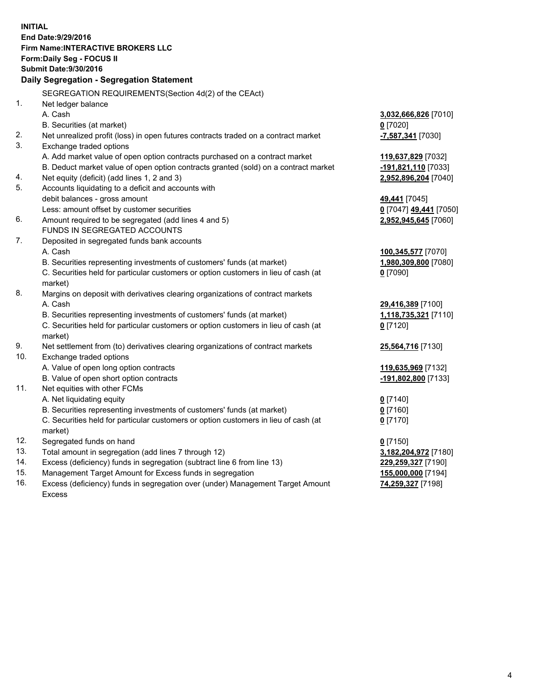**INITIAL End Date:9/29/2016 Firm Name:INTERACTIVE BROKERS LLC Form:Daily Seg - FOCUS II Submit Date:9/30/2016 Daily Segregation - Segregation Statement** SEGREGATION REQUIREMENTS(Section 4d(2) of the CEAct) 1. Net ledger balance A. Cash **3,032,666,826** [7010] B. Securities (at market) **0** [7020] 2. Net unrealized profit (loss) in open futures contracts traded on a contract market **-7,587,341** [7030] 3. Exchange traded options A. Add market value of open option contracts purchased on a contract market **119,637,829** [7032] B. Deduct market value of open option contracts granted (sold) on a contract market **-191,821,110** [7033] 4. Net equity (deficit) (add lines 1, 2 and 3) **2,952,896,204** [7040] 5. Accounts liquidating to a deficit and accounts with debit balances - gross amount **49,441** [7045] Less: amount offset by customer securities **0** [7047] **49,441** [7050] 6. Amount required to be segregated (add lines 4 and 5) **2,952,945,645** [7060] FUNDS IN SEGREGATED ACCOUNTS 7. Deposited in segregated funds bank accounts A. Cash **100,345,577** [7070] B. Securities representing investments of customers' funds (at market) **1,980,309,800** [7080] C. Securities held for particular customers or option customers in lieu of cash (at market) **0** [7090] 8. Margins on deposit with derivatives clearing organizations of contract markets A. Cash **29,416,389** [7100] B. Securities representing investments of customers' funds (at market) **1,118,735,321** [7110] C. Securities held for particular customers or option customers in lieu of cash (at market) **0** [7120] 9. Net settlement from (to) derivatives clearing organizations of contract markets **25,564,716** [7130] 10. Exchange traded options A. Value of open long option contracts **119,635,969** [7132] B. Value of open short option contracts **-191,802,800** [7133] 11. Net equities with other FCMs A. Net liquidating equity **0** [7140] B. Securities representing investments of customers' funds (at market) **0** [7160] C. Securities held for particular customers or option customers in lieu of cash (at market) **0** [7170] 12. Segregated funds on hand **0** [7150] 13. Total amount in segregation (add lines 7 through 12) **3,182,204,972** [7180] 14. Excess (deficiency) funds in segregation (subtract line 6 from line 13) **229,259,327** [7190] 15. Management Target Amount for Excess funds in segregation **155,000,000** [7194] **74,259,327** [7198]

16. Excess (deficiency) funds in segregation over (under) Management Target Amount Excess